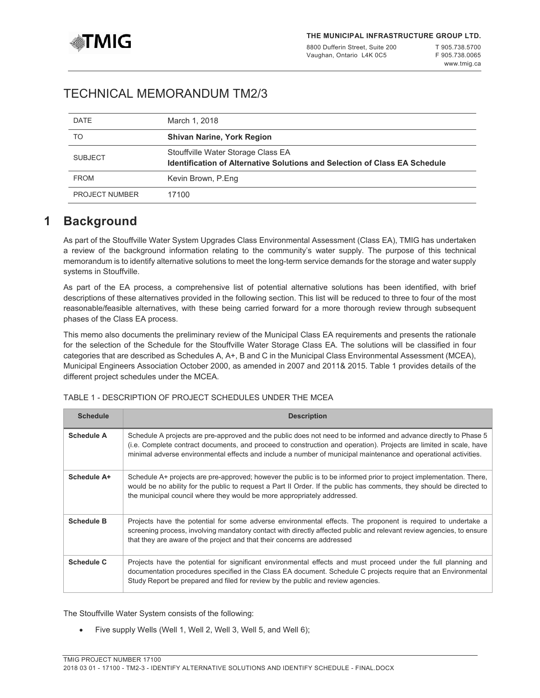

8800 Dufferin Street, Suite 200 Vaughan, Ontario L4K 0C5

T 905.738.5700 F 905.738.0065 [www.tmig.ca](http://www.tmig.ca)

# TECHNICAL MEMORANDUM TM2/3

| <b>DATE</b>           | March 1, 2018                                                                                                           |
|-----------------------|-------------------------------------------------------------------------------------------------------------------------|
| TO                    | <b>Shivan Narine, York Region</b>                                                                                       |
| <b>SUBJECT</b>        | Stouffville Water Storage Class EA<br><b>Identification of Alternative Solutions and Selection of Class EA Schedule</b> |
| <b>FROM</b>           | Kevin Brown, P.Eng                                                                                                      |
| <b>PROJECT NUMBER</b> | 17100                                                                                                                   |

# **1 Background**

As part of the Stouffville Water System Upgrades Class Environmental Assessment (Class EA), TMIG has undertaken a review of the background information relating to the community's water supply. The purpose of this technical memorandum is to identify alternative solutions to meet the long-term service demands for the storage and water supply systems in Stouffville.

As part of the EA process, a comprehensive list of potential alternative solutions has been identified, with brief descriptions of these alternatives provided in the following section. This list will be reduced to three to four of the most reasonable/feasible alternatives, with these being carried forward for a more thorough review through subsequent phases of the Class EA process.

This memo also documents the preliminary review of the Municipal Class EA requirements and presents the rationale for the selection of the Schedule for the Stouffville Water Storage Class EA. The solutions will be classified in four categories that are described as Schedules A, A+, B and C in the Municipal Class Environmental Assessment (MCEA), Municipal Engineers Association October 2000, as amended in 2007 and 2011& 2015. Table 1 provides details of the different project schedules under the MCEA.

| <b>Schedule</b>   | <b>Description</b>                                                                                                                                                                                                                                                                                                                                        |
|-------------------|-----------------------------------------------------------------------------------------------------------------------------------------------------------------------------------------------------------------------------------------------------------------------------------------------------------------------------------------------------------|
| <b>Schedule A</b> | Schedule A projects are pre-approved and the public does not need to be informed and advance directly to Phase 5<br>(i.e. Complete contract documents, and proceed to construction and operation). Projects are limited in scale, have<br>minimal adverse environmental effects and include a number of municipal maintenance and operational activities. |
| Schedule A+       | Schedule A+ projects are pre-approved; however the public is to be informed prior to project implementation. There,<br>would be no ability for the public to request a Part II Order. If the public has comments, they should be directed to<br>the municipal council where they would be more appropriately addressed.                                   |
| <b>Schedule B</b> | Projects have the potential for some adverse environmental effects. The proponent is required to undertake a<br>screening process, involving mandatory contact with directly affected public and relevant review agencies, to ensure<br>that they are aware of the project and that their concerns are addressed                                          |
| <b>Schedule C</b> | Projects have the potential for significant environmental effects and must proceed under the full planning and<br>documentation procedures specified in the Class EA document. Schedule C projects require that an Environmental<br>Study Report be prepared and filed for review by the public and review agencies.                                      |

# TABLE 1 - DESCRIPTION OF PROJECT SCHEDULES UNDER THE MCEA

The Stouffville Water System consists of the following:

Five supply Wells (Well 1, Well 2, Well 3, Well 5, and Well 6);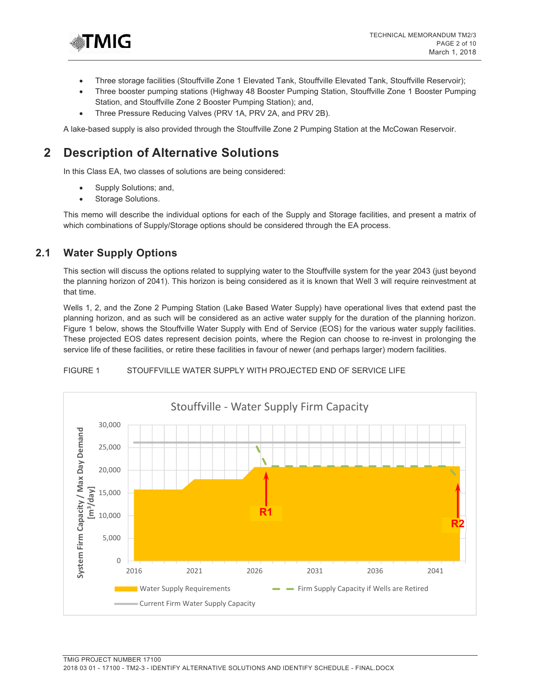

- Three storage facilities (Stouffville Zone 1 Elevated Tank, Stouffville Elevated Tank, Stouffville Reservoir);
- Three booster pumping stations (Highway 48 Booster Pumping Station, Stouffville Zone 1 Booster Pumping Station, and Stouffville Zone 2 Booster Pumping Station); and,
- Three Pressure Reducing Valves (PRV 1A, PRV 2A, and PRV 2B).

A lake-based supply is also provided through the Stouffville Zone 2 Pumping Station at the McCowan Reservoir.

# **2 Description of Alternative Solutions**

In this Class EA, two classes of solutions are being considered:

- Supply Solutions; and,
- Storage Solutions.

This memo will describe the individual options for each of the Supply and Storage facilities, and present a matrix of which combinations of Supply/Storage options should be considered through the EA process.

# **2.1 Water Supply Options**

This section will discuss the options related to supplying water to the Stouffville system for the year 2043 (just beyond the planning horizon of 2041). This horizon is being considered as it is known that Well 3 will require reinvestment at that time.

Wells 1, 2, and the Zone 2 Pumping Station (Lake Based Water Supply) have operational lives that extend past the planning horizon, and as such will be considered as an active water supply for the duration of the planning horizon. Figure 1 below, shows the Stouffville Water Supply with End of Service (EOS) for the various water supply facilities. These projected EOS dates represent decision points, where the Region can choose to re-invest in prolonging the service life of these facilities, or retire these facilities in favour of newer (and perhaps larger) modern facilities.



### FIGURE 1 STOUFFVILLE WATER SUPPLY WITH PROJECTED END OF SERVICE LIFE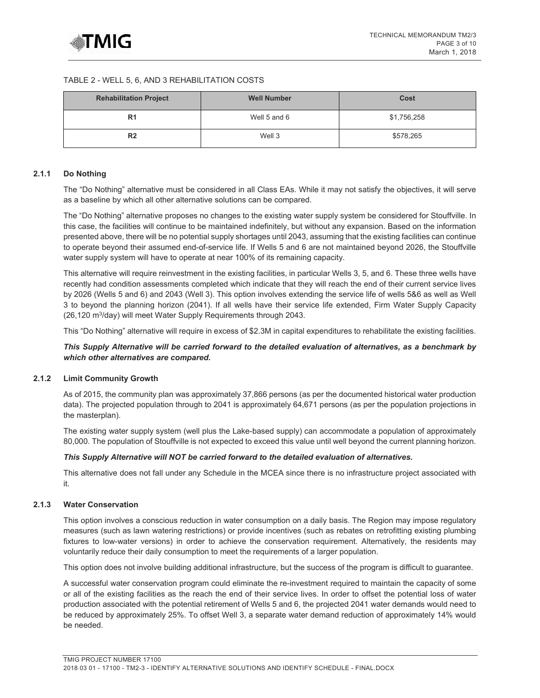### TABLE 2 - WELL 5, 6, AND 3 REHABILITATION COSTS

| <b>Rehabilitation Project</b> | <b>Well Number</b> | Cost        |  |  |
|-------------------------------|--------------------|-------------|--|--|
| R <sub>1</sub>                | Well 5 and 6       | \$1,756,258 |  |  |
| R <sub>2</sub>                | Well 3             | \$578,265   |  |  |

### **2.1.1 Do Nothing**

The "Do Nothing" alternative must be considered in all Class EAs. While it may not satisfy the objectives, it will serve as a baseline by which all other alternative solutions can be compared.

The "Do Nothing" alternative proposes no changes to the existing water supply system be considered for Stouffville. In this case, the facilities will continue to be maintained indefinitely, but without any expansion. Based on the information presented above, there will be no potential supply shortages until 2043, assuming that the existing facilities can continue to operate beyond their assumed end-of-service life. If Wells 5 and 6 are not maintained beyond 2026, the Stouffville water supply system will have to operate at near 100% of its remaining capacity.

This alternative will require reinvestment in the existing facilities, in particular Wells 3, 5, and 6. These three wells have recently had condition assessments completed which indicate that they will reach the end of their current service lives by 2026 (Wells 5 and 6) and 2043 (Well 3). This option involves extending the service life of wells 5&6 as well as Well 3 to beyond the planning horizon (2041). If all wells have their service life extended, Firm Water Supply Capacity (26,120 m3/day) will meet Water Supply Requirements through 2043.

This "Do Nothing" alternative will require in excess of \$2.3M in capital expenditures to rehabilitate the existing facilities.

### *This Supply Alternative will be carried forward to the detailed evaluation of alternatives, as a benchmark by which other alternatives are compared.*

## **2.1.2 Limit Community Growth**

As of 2015, the community plan was approximately 37,866 persons (as per the documented historical water production data). The projected population through to 2041 is approximately 64,671 persons (as per the population projections in the masterplan).

The existing water supply system (well plus the Lake-based supply) can accommodate a population of approximately 80,000. The population of Stouffville is not expected to exceed this value until well beyond the current planning horizon.

## *This Supply Alternative will NOT be carried forward to the detailed evaluation of alternatives.*

This alternative does not fall under any Schedule in the MCEA since there is no infrastructure project associated with it.

## **2.1.3 Water Conservation**

This option involves a conscious reduction in water consumption on a daily basis. The Region may impose regulatory measures (such as lawn watering restrictions) or provide incentives (such as rebates on retrofitting existing plumbing fixtures to low-water versions) in order to achieve the conservation requirement. Alternatively, the residents may voluntarily reduce their daily consumption to meet the requirements of a larger population.

This option does not involve building additional infrastructure, but the success of the program is difficult to guarantee.

A successful water conservation program could eliminate the re-investment required to maintain the capacity of some or all of the existing facilities as the reach the end of their service lives. In order to offset the potential loss of water production associated with the potential retirement of Wells 5 and 6, the projected 2041 water demands would need to be reduced by approximately 25%. To offset Well 3, a separate water demand reduction of approximately 14% would be needed.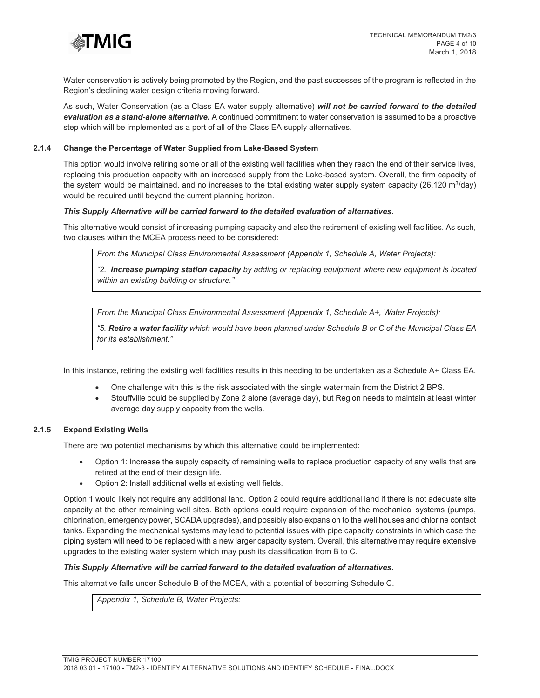

Water conservation is actively being promoted by the Region, and the past successes of the program is reflected in the Region's declining water design criteria moving forward.

As such, Water Conservation (as a Class EA water supply alternative) *will not be carried forward to the detailed evaluation as a stand-alone alternative.* A continued commitment to water conservation is assumed to be a proactive step which will be implemented as a port of all of the Class EA supply alternatives.

### **2.1.4 Change the Percentage of Water Supplied from Lake-Based System**

This option would involve retiring some or all of the existing well facilities when they reach the end of their service lives, replacing this production capacity with an increased supply from the Lake-based system. Overall, the firm capacity of the system would be maintained, and no increases to the total existing water supply system capacity (26,120 m $3$ /day) would be required until beyond the current planning horizon.

### *This Supply Alternative will be carried forward to the detailed evaluation of alternatives.*

This alternative would consist of increasing pumping capacity and also the retirement of existing well facilities. As such, two clauses within the MCEA process need to be considered:

*From the Municipal Class Environmental Assessment (Appendix 1, Schedule A, Water Projects):* 

*"2. Increase pumping station capacity by adding or replacing equipment where new equipment is located within an existing building or structure."*

*From the Municipal Class Environmental Assessment (Appendix 1, Schedule A+, Water Projects):* 

*"5. Retire a water facility which would have been planned under Schedule B or C of the Municipal Class EA for its establishment."*

In this instance, retiring the existing well facilities results in this needing to be undertaken as a Schedule A+ Class EA.

- One challenge with this is the risk associated with the single watermain from the District 2 BPS.
- Stouffville could be supplied by Zone 2 alone (average day), but Region needs to maintain at least winter average day supply capacity from the wells.

### **2.1.5 Expand Existing Wells**

There are two potential mechanisms by which this alternative could be implemented:

- Option 1: Increase the supply capacity of remaining wells to replace production capacity of any wells that are retired at the end of their design life.
- Option 2: Install additional wells at existing well fields.

Option 1 would likely not require any additional land. Option 2 could require additional land if there is not adequate site capacity at the other remaining well sites. Both options could require expansion of the mechanical systems (pumps, chlorination, emergency power, SCADA upgrades), and possibly also expansion to the well houses and chlorine contact tanks. Expanding the mechanical systems may lead to potential issues with pipe capacity constraints in which case the piping system will need to be replaced with a new larger capacity system. Overall, this alternative may require extensive upgrades to the existing water system which may push its classification from B to C.

### *This Supply Alternative will be carried forward to the detailed evaluation of alternatives.*

This alternative falls under Schedule B of the MCEA, with a potential of becoming Schedule C.

*Appendix 1, Schedule B, Water Projects:*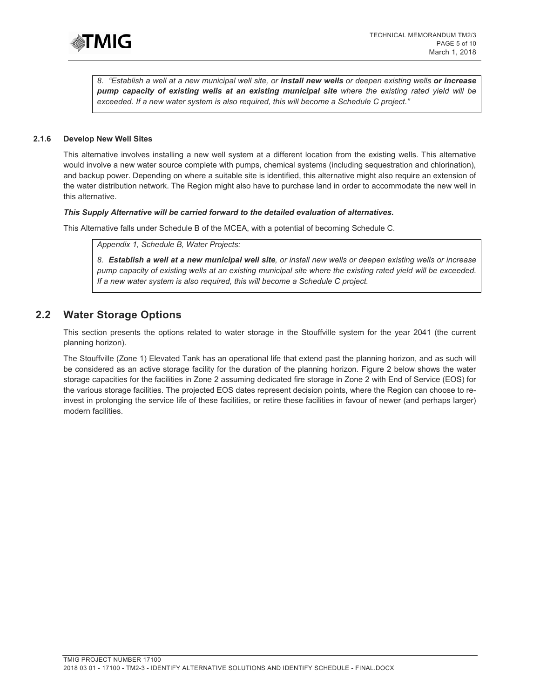

*8. "Establish a well at a new municipal well site, or install new wells or deepen existing wells or increase pump capacity of existing wells at an existing municipal site where the existing rated yield will be exceeded. If a new water system is also required, this will become a Schedule C project."* 

### **2.1.6 Develop New Well Sites**

This alternative involves installing a new well system at a different location from the existing wells. This alternative would involve a new water source complete with pumps, chemical systems (including sequestration and chlorination), and backup power. Depending on where a suitable site is identified, this alternative might also require an extension of the water distribution network. The Region might also have to purchase land in order to accommodate the new well in this alternative.

#### *This Supply Alternative will be carried forward to the detailed evaluation of alternatives.*

This Alternative falls under Schedule B of the MCEA, with a potential of becoming Schedule C.

*Appendix 1, Schedule B, Water Projects:* 

*8. Establish a well at a new municipal well site, or install new wells or deepen existing wells or increase pump capacity of existing wells at an existing municipal site where the existing rated yield will be exceeded. If a new water system is also required, this will become a Schedule C project.* 

# **2.2 Water Storage Options**

This section presents the options related to water storage in the Stouffville system for the year 2041 (the current planning horizon).

The Stouffville (Zone 1) Elevated Tank has an operational life that extend past the planning horizon, and as such will be considered as an active storage facility for the duration of the planning horizon. Figure 2 below shows the water storage capacities for the facilities in Zone 2 assuming dedicated fire storage in Zone 2 with End of Service (EOS) for the various storage facilities. The projected EOS dates represent decision points, where the Region can choose to reinvest in prolonging the service life of these facilities, or retire these facilities in favour of newer (and perhaps larger) modern facilities.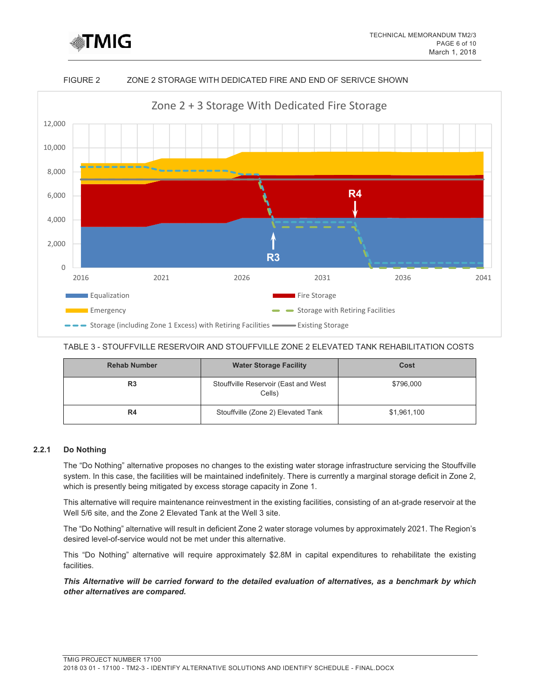

## FIGURE 2 ZONE 2 STORAGE WITH DEDICATED FIRE AND END OF SERIVCE SHOWN



### TABLE 3 - STOUFFVILLE RESERVOIR AND STOUFFVILLE ZONE 2 ELEVATED TANK REHABILITATION COSTS

| <b>Rehab Number</b> | <b>Water Storage Facility</b>                  | Cost        |  |  |
|---------------------|------------------------------------------------|-------------|--|--|
| R <sub>3</sub>      | Stouffville Reservoir (East and West<br>Cells) | \$796,000   |  |  |
| R4                  | Stouffville (Zone 2) Elevated Tank             | \$1,961,100 |  |  |

## **2.2.1 Do Nothing**

The "Do Nothing" alternative proposes no changes to the existing water storage infrastructure servicing the Stouffville system. In this case, the facilities will be maintained indefinitely. There is currently a marginal storage deficit in Zone 2, which is presently being mitigated by excess storage capacity in Zone 1.

This alternative will require maintenance reinvestment in the existing facilities, consisting of an at-grade reservoir at the Well 5/6 site, and the Zone 2 Elevated Tank at the Well 3 site.

The "Do Nothing" alternative will result in deficient Zone 2 water storage volumes by approximately 2021. The Region's desired level-of-service would not be met under this alternative.

This "Do Nothing" alternative will require approximately \$2.8M in capital expenditures to rehabilitate the existing facilities.

*This Alternative will be carried forward to the detailed evaluation of alternatives, as a benchmark by which other alternatives are compared.*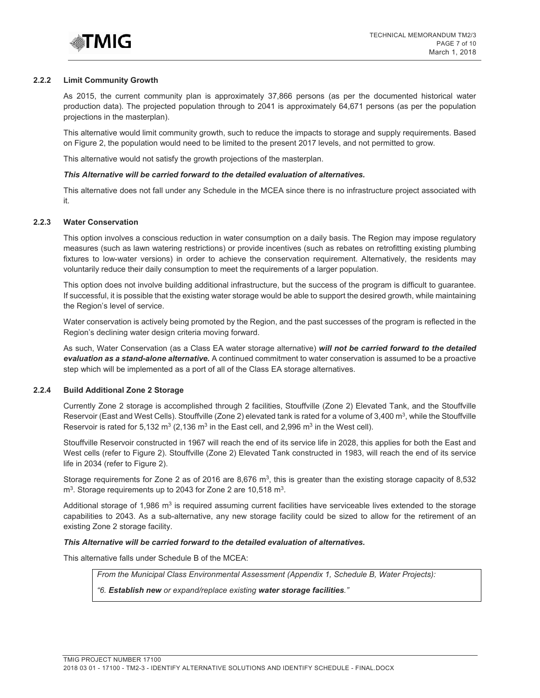

### **2.2.2 Limit Community Growth**

As 2015, the current community plan is approximately 37,866 persons (as per the documented historical water production data). The projected population through to 2041 is approximately 64,671 persons (as per the population projections in the masterplan).

This alternative would limit community growth, such to reduce the impacts to storage and supply requirements. Based on Figure 2, the population would need to be limited to the present 2017 levels, and not permitted to grow.

This alternative would not satisfy the growth projections of the masterplan.

#### *This Alternative will be carried forward to the detailed evaluation of alternatives.*

This alternative does not fall under any Schedule in the MCEA since there is no infrastructure project associated with it.

#### **2.2.3 Water Conservation**

This option involves a conscious reduction in water consumption on a daily basis. The Region may impose regulatory measures (such as lawn watering restrictions) or provide incentives (such as rebates on retrofitting existing plumbing fixtures to low-water versions) in order to achieve the conservation requirement. Alternatively, the residents may voluntarily reduce their daily consumption to meet the requirements of a larger population.

This option does not involve building additional infrastructure, but the success of the program is difficult to guarantee. If successful, it is possible that the existing water storage would be able to support the desired growth, while maintaining the Region's level of service.

Water conservation is actively being promoted by the Region, and the past successes of the program is reflected in the Region's declining water design criteria moving forward.

As such, Water Conservation (as a Class EA water storage alternative) *will not be carried forward to the detailed evaluation as a stand-alone alternative.* A continued commitment to water conservation is assumed to be a proactive step which will be implemented as a port of all of the Class EA storage alternatives.

### **2.2.4 Build Additional Zone 2 Storage**

Currently Zone 2 storage is accomplished through 2 facilities, Stouffville (Zone 2) Elevated Tank, and the Stouffville Reservoir (East and West Cells). Stouffville (Zone 2) elevated tank is rated for a volume of 3,400 m<sup>3</sup>, while the Stouffville Reservoir is rated for 5,132  $m^3$  (2,136  $m^3$  in the East cell, and 2,996  $m^3$  in the West cell).

Stouffville Reservoir constructed in 1967 will reach the end of its service life in 2028, this applies for both the East and West cells (refer to Figure 2). Stouffville (Zone 2) Elevated Tank constructed in 1983, will reach the end of its service life in 2034 (refer to Figure 2).

Storage requirements for Zone 2 as of 2016 are 8,676  $m<sup>3</sup>$ , this is greater than the existing storage capacity of 8,532 m<sup>3</sup>. Storage requirements up to 2043 for Zone 2 are 10,518 m<sup>3</sup>.

Additional storage of 1,986 m<sup>3</sup> is required assuming current facilities have serviceable lives extended to the storage capabilities to 2043. As a sub-alternative, any new storage facility could be sized to allow for the retirement of an existing Zone 2 storage facility.

### *This Alternative will be carried forward to the detailed evaluation of alternatives.*

This alternative falls under Schedule B of the MCEA:

*From the Municipal Class Environmental Assessment (Appendix 1, Schedule B, Water Projects):* 

*"6. Establish new or expand/replace existing water storage facilities."*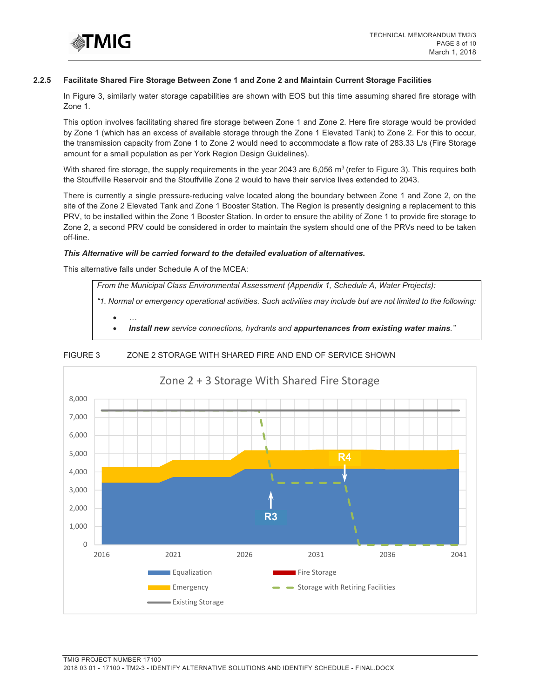

### **2.2.5 Facilitate Shared Fire Storage Between Zone 1 and Zone 2 and Maintain Current Storage Facilities**

In Figure 3, similarly water storage capabilities are shown with EOS but this time assuming shared fire storage with Zone 1.

This option involves facilitating shared fire storage between Zone 1 and Zone 2. Here fire storage would be provided by Zone 1 (which has an excess of available storage through the Zone 1 Elevated Tank) to Zone 2. For this to occur, the transmission capacity from Zone 1 to Zone 2 would need to accommodate a flow rate of 283.33 L/s (Fire Storage amount for a small population as per York Region Design Guidelines).

With shared fire storage, the supply requirements in the year 2043 are 6,056 m<sup>3</sup> (refer to Figure 3). This requires both the Stouffville Reservoir and the Stouffville Zone 2 would to have their service lives extended to 2043.

There is currently a single pressure-reducing valve located along the boundary between Zone 1 and Zone 2, on the site of the Zone 2 Elevated Tank and Zone 1 Booster Station. The Region is presently designing a replacement to this PRV, to be installed within the Zone 1 Booster Station. In order to ensure the ability of Zone 1 to provide fire storage to Zone 2, a second PRV could be considered in order to maintain the system should one of the PRVs need to be taken off-line.

### *This Alternative will be carried forward to the detailed evaluation of alternatives.*

This alternative falls under Schedule A of the MCEA:

*From the Municipal Class Environmental Assessment (Appendix 1, Schedule A, Water Projects):* 

*"1. Normal or emergency operational activities. Such activities may include but are not limited to the following:* 

• *…* • *Install new service connections, hydrants and appurtenances from existing water mains."*



## FIGURE 3 ZONE 2 STORAGE WITH SHARED FIRE AND END OF SERVICE SHOWN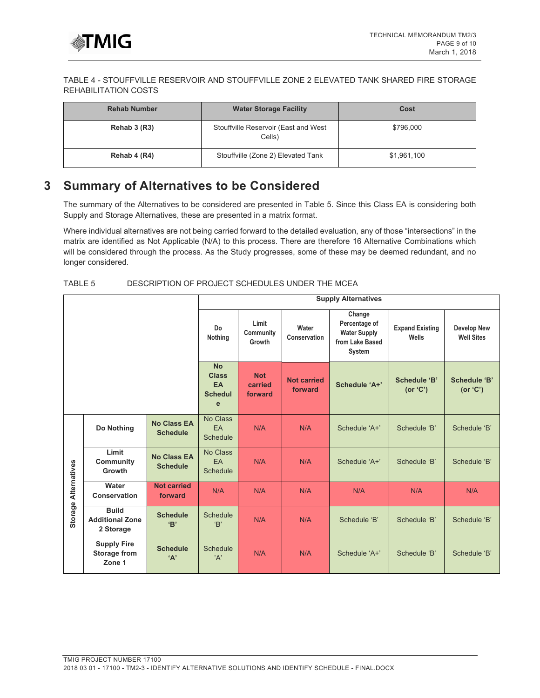

## TABLE 4 - STOUFFVILLE RESERVOIR AND STOUFFVILLE ZONE 2 ELEVATED TANK SHARED FIRE STORAGE REHABILITATION COSTS

| <b>Rehab Number</b> | <b>Water Storage Facility</b>                  | Cost        |  |  |
|---------------------|------------------------------------------------|-------------|--|--|
| Rehab 3 (R3)        | Stouffville Reservoir (East and West<br>Cells) | \$796,000   |  |  |
| Rehab 4 (R4)        | Stouffville (Zone 2) Elevated Tank             | \$1,961,100 |  |  |

# **3 Summary of Alternatives to be Considered**

The summary of the Alternatives to be considered are presented in Table 5. Since this Class EA is considering both Supply and Storage Alternatives, these are presented in a matrix format.

Where individual alternatives are not being carried forward to the detailed evaluation, any of those "intersections" in the matrix are identified as Not Applicable (N/A) to this process. There are therefore 16 Alternative Combinations which will be considered through the process. As the Study progresses, some of these may be deemed redundant, and no longer considered.

## TABLE 5 DESCRIPTION OF PROJECT SCHEDULES UNDER THE MCEA

|                                |                                                     | <b>Supply Alternatives</b>                             |                                          |                               |                                                                             |                                 |                                         |              |
|--------------------------------|-----------------------------------------------------|--------------------------------------------------------|------------------------------------------|-------------------------------|-----------------------------------------------------------------------------|---------------------------------|-----------------------------------------|--------------|
|                                |                                                     | Do<br>Nothing                                          | Limit<br>Community<br>Growth             | Water<br>Conservation         | Change<br>Percentage of<br><b>Water Supply</b><br>from Lake Based<br>System | <b>Expand Existing</b><br>Wells | <b>Develop New</b><br><b>Well Sites</b> |              |
|                                |                                                     | <b>No</b><br><b>Class</b><br>EA<br><b>Schedul</b><br>e | <b>Not</b><br>carried<br>forward         | <b>Not carried</b><br>forward | Schedule 'A+'                                                               | <b>Schedule 'B'</b><br>(or 'C') | Schedule 'B'<br>(or 'C')                |              |
| <b>Alternatives</b><br>Storage | Do Nothing                                          | <b>No Class EA</b><br><b>Schedule</b>                  | <b>No Class</b><br><b>EA</b><br>Schedule | N/A                           | N/A                                                                         | Schedule 'A+'                   | Schedule 'B'                            | Schedule 'B' |
|                                | Limit<br>Community<br>Growth                        | <b>No Class EA</b><br><b>Schedule</b>                  | No Class<br>EA<br>Schedule               | N/A                           | N/A                                                                         | Schedule 'A+'                   | Schedule 'B'                            | Schedule 'B' |
|                                | Water<br>Conservation                               | <b>Not carried</b><br>forward                          | N/A                                      | N/A                           | N/A                                                                         | N/A                             | N/A                                     | N/A          |
|                                | <b>Build</b><br><b>Additional Zone</b><br>2 Storage | <b>Schedule</b><br>'B'                                 | Schedule<br>B                            | N/A                           | N/A                                                                         | Schedule 'B'                    | Schedule 'B'                            | Schedule 'B' |
|                                | <b>Supply Fire</b><br><b>Storage from</b><br>Zone 1 | <b>Schedule</b><br>A                                   | <b>Schedule</b><br>'A'                   | N/A                           | N/A                                                                         | Schedule 'A+'                   | Schedule 'B'                            | Schedule 'B' |